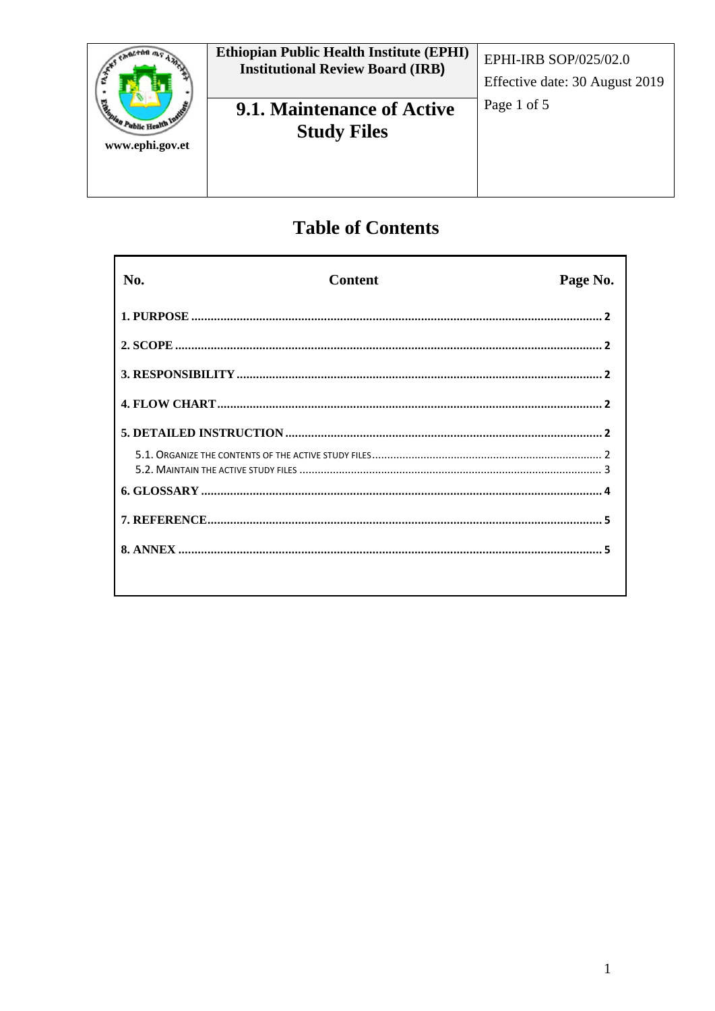| Handan Public Health Inc.<br>www.ephi.gov.et | <b>Ethiopian Public Health Institute (EPHI)</b><br><b>Institutional Review Board (IRB)</b> | EPHI-IRB SOP/025/02.0<br>Effective date: 30 August 2019 |
|----------------------------------------------|--------------------------------------------------------------------------------------------|---------------------------------------------------------|
|                                              | <b>9.1. Maintenance of Active</b><br><b>Study Files</b>                                    | Page 1 of 5                                             |

# **Table of Contents**

| No. | <b>Content</b> | Page No. |
|-----|----------------|----------|
|     |                |          |
|     |                |          |
|     |                |          |
|     |                |          |
|     |                |          |
|     |                |          |
|     |                |          |
|     |                |          |
|     |                |          |
|     |                |          |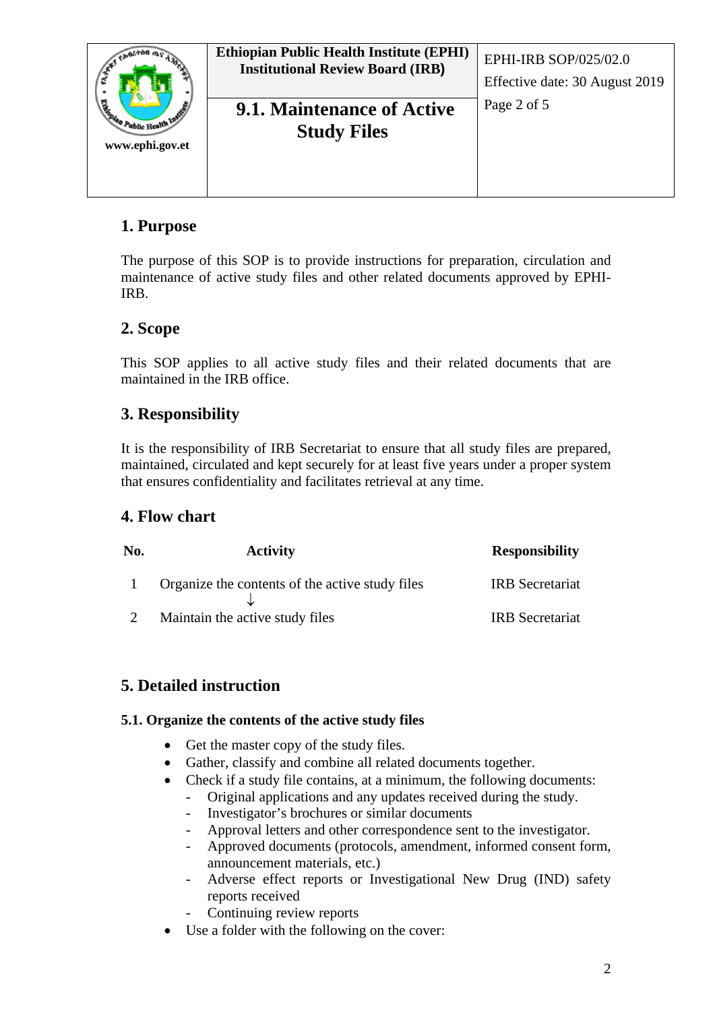| Reman Public Health Inc.<br>www.ephi.gov.et | <b>Ethiopian Public Health Institute (EPHI)</b><br><b>Institutional Review Board (IRB)</b> | EPHI-IRB SOP/025/02.0<br>Effective date: 30 August 2019 |
|---------------------------------------------|--------------------------------------------------------------------------------------------|---------------------------------------------------------|
|                                             | 9.1. Maintenance of Active<br><b>Study Files</b>                                           | Page 2 of 5                                             |

## <span id="page-1-0"></span>**1. Purpose**

The purpose of this SOP is to provide instructions for preparation, circulation and maintenance of active study files and other related documents approved by EPHI-IRB.

## <span id="page-1-1"></span>**2. Scope**

This SOP applies to all active study files and their related documents that are maintained in the IRB office.

## <span id="page-1-2"></span>**3. Responsibility**

It is the responsibility of IRB Secretariat to ensure that all study files are prepared, maintained, circulated and kept securely for at least five years under a proper system that ensures confidentiality and facilitates retrieval at any time.

### <span id="page-1-3"></span>**4. Flow chart**

| No. | <b>Activity</b>                                 | <b>Responsibility</b>  |
|-----|-------------------------------------------------|------------------------|
|     | Organize the contents of the active study files | <b>IRB</b> Secretariat |
|     | Maintain the active study files                 | <b>IRB</b> Secretariat |

## <span id="page-1-4"></span>**5. Detailed instruction**

#### <span id="page-1-5"></span>**5.1. Organize the contents of the active study files**

- Get the master copy of the study files.
- Gather, classify and combine all related documents together.
- Check if a study file contains, at a minimum, the following documents:
	- Original applications and any updates received during the study.
	- Investigator's brochures or similar documents
	- Approval letters and other correspondence sent to the investigator.
	- Approved documents (protocols, amendment, informed consent form, announcement materials, etc.)
	- Adverse effect reports or Investigational New Drug (IND) safety reports received
	- Continuing review reports
- Use a folder with the following on the cover: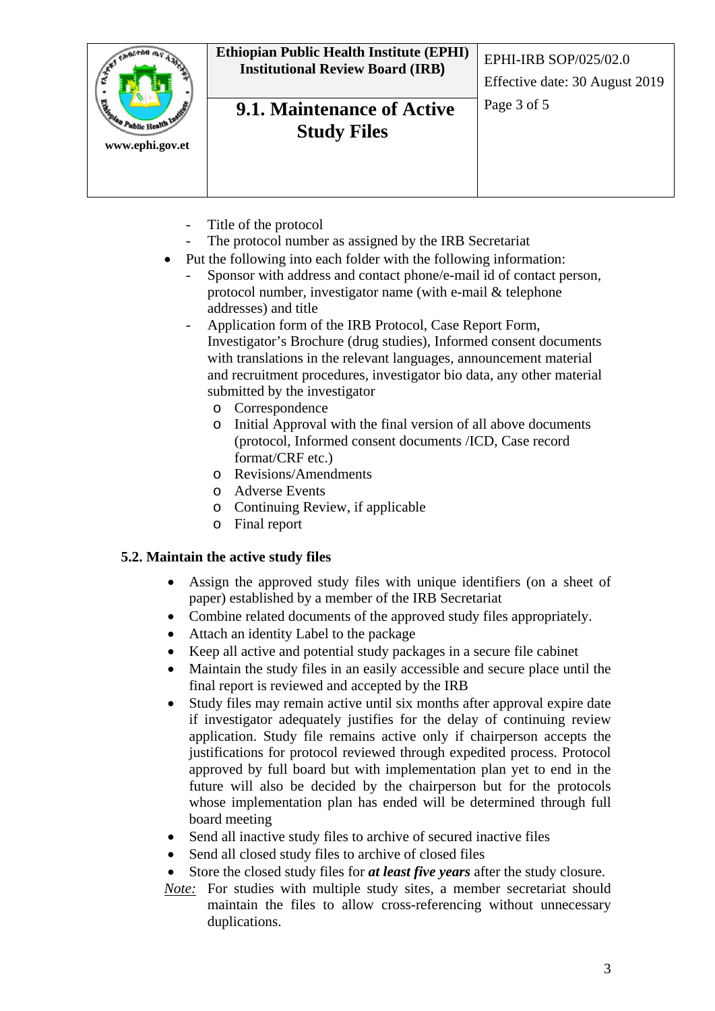| <b>Calgata</b><br>th Public Health Inc.<br>www.ephi.gov.et | <b>Ethiopian Public Health Institute (EPHI)</b><br><b>Institutional Review Board (IRB)</b> | EPHI-IRB SOP/025/02.0<br>Effective date: 30 August 2019 |
|------------------------------------------------------------|--------------------------------------------------------------------------------------------|---------------------------------------------------------|
|                                                            | <b>9.1. Maintenance of Active</b><br><b>Study Files</b>                                    | Page 3 of 5                                             |

- Title of the protocol
- The protocol number as assigned by the IRB Secretariat
- Put the following into each folder with the following information:
	- Sponsor with address and contact phone/e-mail id of contact person, protocol number, investigator name (with e-mail & telephone addresses) and title
	- Application form of the IRB Protocol, Case Report Form, Investigator's Brochure (drug studies), Informed consent documents with translations in the relevant languages, announcement material and recruitment procedures, investigator bio data, any other material submitted by the investigator
		- o Correspondence
		- o Initial Approval with the final version of all above documents (protocol, Informed consent documents /ICD, Case record format/CRF etc.)
		- o Revisions/Amendments
		- o Adverse Events
		- o Continuing Review, if applicable
		- o Final report

#### <span id="page-2-0"></span>**5.2. Maintain the active study files**

- Assign the approved study files with unique identifiers (on a sheet of paper) established by a member of the IRB Secretariat
- Combine related documents of the approved study files appropriately.
- Attach an identity Label to the package
- Keep all active and potential study packages in a secure file cabinet
- Maintain the study files in an easily accessible and secure place until the final report is reviewed and accepted by the IRB
- Study files may remain active until six months after approval expire date if investigator adequately justifies for the delay of continuing review application. Study file remains active only if chairperson accepts the justifications for protocol reviewed through expedited process. Protocol approved by full board but with implementation plan yet to end in the future will also be decided by the chairperson but for the protocols whose implementation plan has ended will be determined through full board meeting
- Send all inactive study files to archive of secured inactive files
- Send all closed study files to archive of closed files
- Store the closed study files for *at least five years* after the study closure.
- *Note:* For studies with multiple study sites, a member secretariat should maintain the files to allow cross-referencing without unnecessary duplications.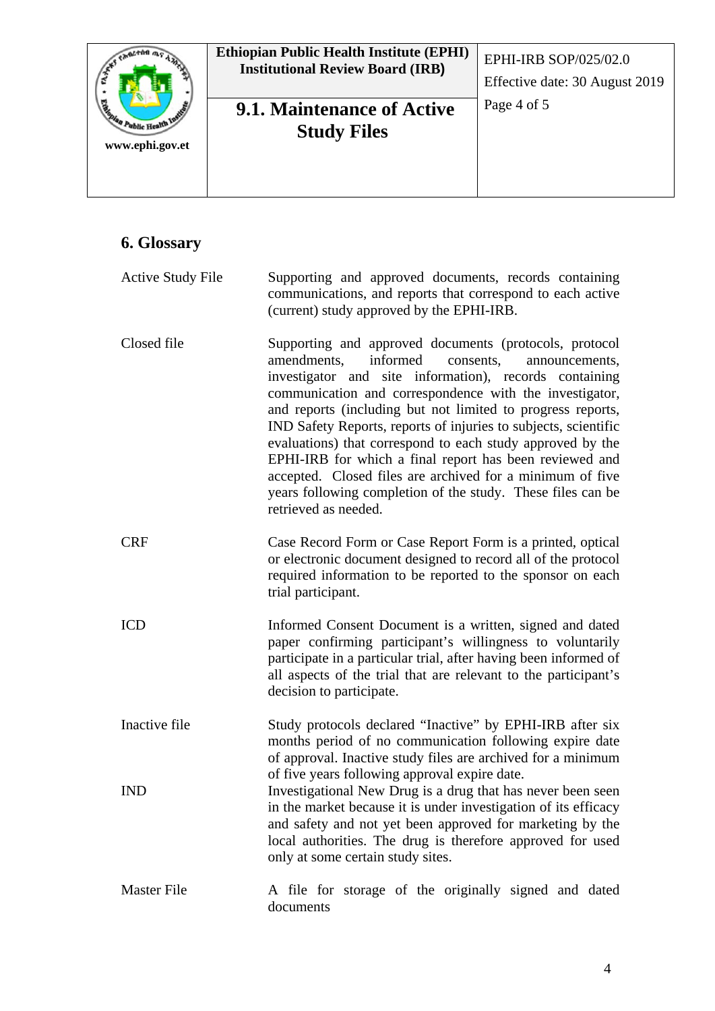| Rightan Public Health Inc.<br>www.ephi.gov.et | <b>Ethiopian Public Health Institute (EPHI)</b><br><b>Institutional Review Board (IRB)</b> | EPHI-IRB SOP/025/02.0<br>Effective date: 30 August 2019 |
|-----------------------------------------------|--------------------------------------------------------------------------------------------|---------------------------------------------------------|
|                                               | <b>9.1. Maintenance of Active</b><br><b>Study Files</b>                                    | Page 4 of 5                                             |

## <span id="page-3-0"></span>**6. Glossary**

| <b>Active Study File</b> | Supporting and approved documents, records containing<br>communications, and reports that correspond to each active<br>(current) study approved by the EPHI-IRB.                                                                                                                                                                                                                                                                                                                                                                                                                                                                                     |
|--------------------------|------------------------------------------------------------------------------------------------------------------------------------------------------------------------------------------------------------------------------------------------------------------------------------------------------------------------------------------------------------------------------------------------------------------------------------------------------------------------------------------------------------------------------------------------------------------------------------------------------------------------------------------------------|
| Closed file              | Supporting and approved documents (protocols, protocol<br>informed<br>amendments,<br>consents,<br>announcements,<br>investigator and site information), records containing<br>communication and correspondence with the investigator,<br>and reports (including but not limited to progress reports,<br>IND Safety Reports, reports of injuries to subjects, scientific<br>evaluations) that correspond to each study approved by the<br>EPHI-IRB for which a final report has been reviewed and<br>accepted. Closed files are archived for a minimum of five<br>years following completion of the study. These files can be<br>retrieved as needed. |
| <b>CRF</b>               | Case Record Form or Case Report Form is a printed, optical<br>or electronic document designed to record all of the protocol<br>required information to be reported to the sponsor on each<br>trial participant.                                                                                                                                                                                                                                                                                                                                                                                                                                      |
| <b>ICD</b>               | Informed Consent Document is a written, signed and dated<br>paper confirming participant's willingness to voluntarily<br>participate in a particular trial, after having been informed of<br>all aspects of the trial that are relevant to the participant's<br>decision to participate.                                                                                                                                                                                                                                                                                                                                                             |
| Inactive file            | Study protocols declared "Inactive" by EPHI-IRB after six<br>months period of no communication following expire date<br>of approval. Inactive study files are archived for a minimum<br>of five years following approval expire date.                                                                                                                                                                                                                                                                                                                                                                                                                |
| <b>IND</b>               | Investigational New Drug is a drug that has never been seen<br>in the market because it is under investigation of its efficacy<br>and safety and not yet been approved for marketing by the<br>local authorities. The drug is therefore approved for used<br>only at some certain study sites.                                                                                                                                                                                                                                                                                                                                                       |
| <b>Master File</b>       | A file for storage of the originally signed and dated<br>documents                                                                                                                                                                                                                                                                                                                                                                                                                                                                                                                                                                                   |